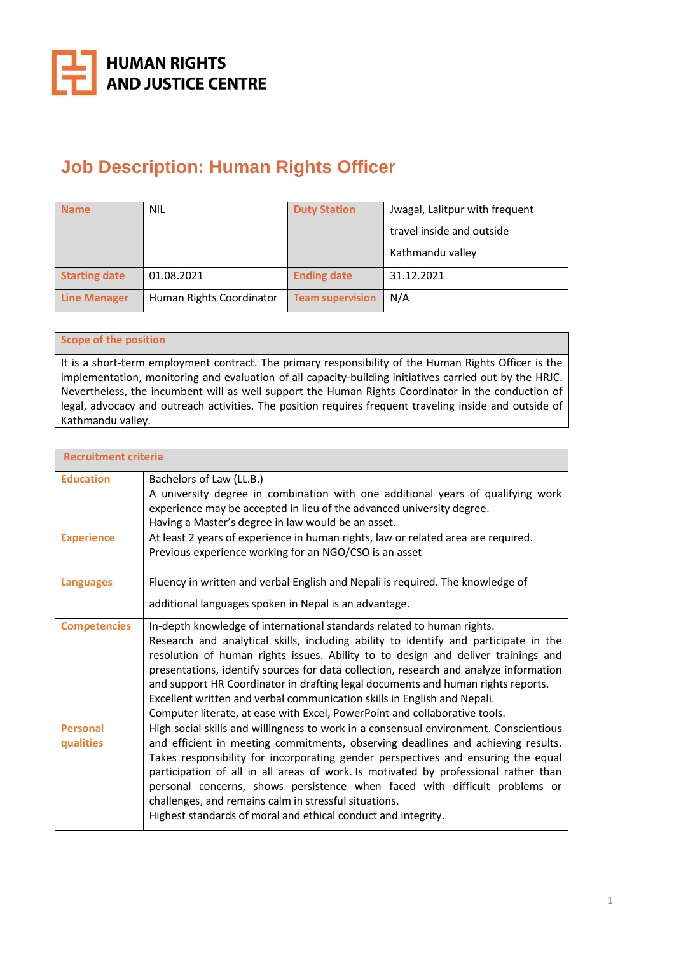

# **Job Description: Human Rights Officer**

| <b>Name</b>          | <b>NIL</b>               | <b>Duty Station</b>     | Jwagal, Lalitpur with frequent |
|----------------------|--------------------------|-------------------------|--------------------------------|
|                      |                          |                         | travel inside and outside      |
|                      |                          |                         | Kathmandu valley               |
| <b>Starting date</b> | 01.08.2021               | <b>Ending date</b>      | 31.12.2021                     |
| <b>Line Manager</b>  | Human Rights Coordinator | <b>Team supervision</b> | N/A                            |

## **Scope of the position**

It is a short-term employment contract. The primary responsibility of the Human Rights Officer is the implementation, monitoring and evaluation of all capacity-building initiatives carried out by the HRJC. Nevertheless, the incumbent will as well support the Human Rights Coordinator in the conduction of legal, advocacy and outreach activities. The position requires frequent traveling inside and outside of Kathmandu valley.

| <b>Recruitment criteria</b>  |                                                                                                                                                                                                                                                                                                                                                                                                                                                                                                                                                                                            |  |  |
|------------------------------|--------------------------------------------------------------------------------------------------------------------------------------------------------------------------------------------------------------------------------------------------------------------------------------------------------------------------------------------------------------------------------------------------------------------------------------------------------------------------------------------------------------------------------------------------------------------------------------------|--|--|
| <b>Education</b>             | Bachelors of Law (LL.B.)<br>A university degree in combination with one additional years of qualifying work<br>experience may be accepted in lieu of the advanced university degree.<br>Having a Master's degree in law would be an asset.                                                                                                                                                                                                                                                                                                                                                 |  |  |
| <b>Experience</b>            | At least 2 years of experience in human rights, law or related area are required.<br>Previous experience working for an NGO/CSO is an asset                                                                                                                                                                                                                                                                                                                                                                                                                                                |  |  |
| <b>Languages</b>             | Fluency in written and verbal English and Nepali is required. The knowledge of<br>additional languages spoken in Nepal is an advantage.                                                                                                                                                                                                                                                                                                                                                                                                                                                    |  |  |
| <b>Competencies</b>          | In-depth knowledge of international standards related to human rights.<br>Research and analytical skills, including ability to identify and participate in the<br>resolution of human rights issues. Ability to to design and deliver trainings and<br>presentations, identify sources for data collection, research and analyze information<br>and support HR Coordinator in drafting legal documents and human rights reports.<br>Excellent written and verbal communication skills in English and Nepali.<br>Computer literate, at ease with Excel, PowerPoint and collaborative tools. |  |  |
| <b>Personal</b><br>qualities | High social skills and willingness to work in a consensual environment. Conscientious<br>and efficient in meeting commitments, observing deadlines and achieving results.<br>Takes responsibility for incorporating gender perspectives and ensuring the equal<br>participation of all in all areas of work. Is motivated by professional rather than<br>personal concerns, shows persistence when faced with difficult problems or<br>challenges, and remains calm in stressful situations.<br>Highest standards of moral and ethical conduct and integrity.                              |  |  |